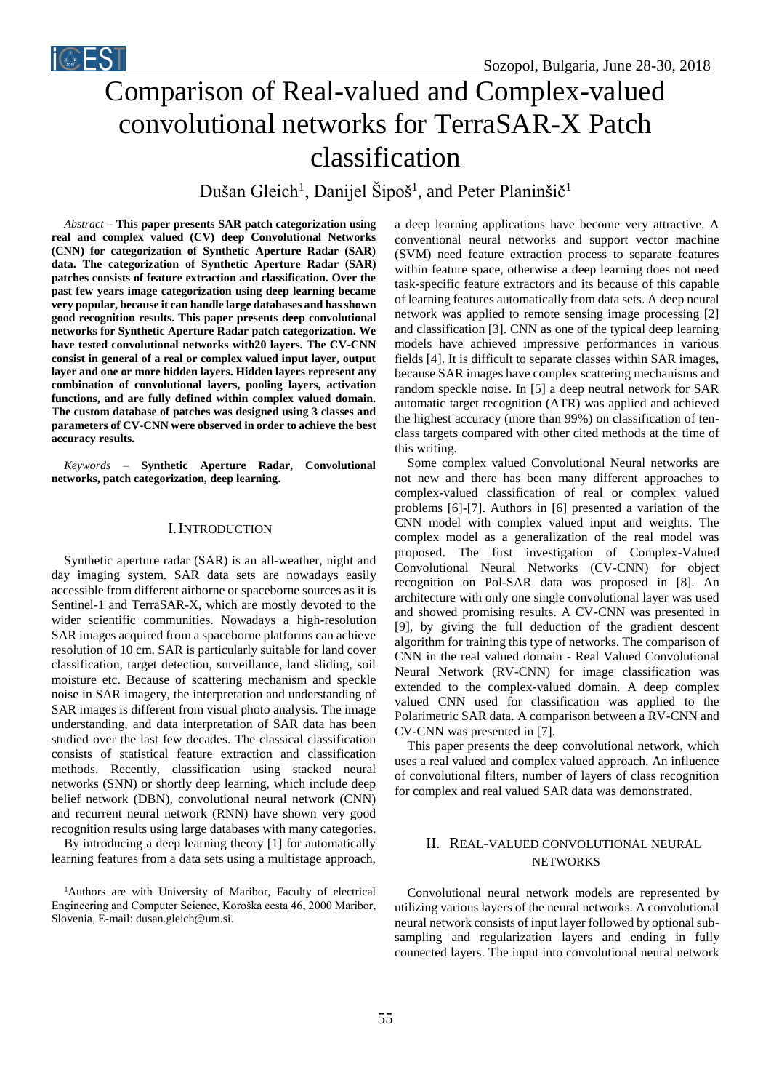

# Comparison of Real-valued and Complex-valued convolutional networks for TerraSAR-X Patch classification

Dušan Gleich<sup>1</sup>, Danijel Šipoš<sup>1</sup>, and Peter Planinšič<sup>1</sup>

*Abstract –* **This paper presents SAR patch categorization using real and complex valued (CV) deep Convolutional Networks (CNN) for categorization of Synthetic Aperture Radar (SAR) data. The categorization of Synthetic Aperture Radar (SAR) patches consists of feature extraction and classification. Over the past few years image categorization using deep learning became very popular, because it can handle large databases and has shown good recognition results. This paper presents deep convolutional networks for Synthetic Aperture Radar patch categorization. We have tested convolutional networks with20 layers. The CV-CNN consist in general of a real or complex valued input layer, output layer and one or more hidden layers. Hidden layers represent any combination of convolutional layers, pooling layers, activation functions, and are fully defined within complex valued domain. The custom database of patches was designed using 3 classes and parameters of CV-CNN were observed in order to achieve the best accuracy results.**

*Keywords –* **Synthetic Aperture Radar, Convolutional networks, patch categorization, deep learning.**

## I.INTRODUCTION

Synthetic aperture radar (SAR) is an all-weather, night and day imaging system. SAR data sets are nowadays easily accessible from different airborne or spaceborne sources as it is Sentinel-1 and TerraSAR-X, which are mostly devoted to the wider scientific communities. Nowadays a high-resolution SAR images acquired from a spaceborne platforms can achieve resolution of 10 cm. SAR is particularly suitable for land cover classification, target detection, surveillance, land sliding, soil moisture etc. Because of scattering mechanism and speckle noise in SAR imagery, the interpretation and understanding of SAR images is different from visual photo analysis. The image understanding, and data interpretation of SAR data has been studied over the last few decades. The classical classification consists of statistical feature extraction and classification methods. Recently, classification using stacked neural networks (SNN) or shortly deep learning, which include deep belief network (DBN), convolutional neural network (CNN) and recurrent neural network (RNN) have shown very good recognition results using large databases with many categories.

By introducing a deep learning theory [1] for automatically learning features from a data sets using a multistage approach,

<sup>1</sup>Authors are with University of Maribor, Faculty of electrical Engineering and Computer Science, Koroška cesta 46, 2000 Maribor, Slovenia, E-mail: dusan.gleich@um.si.

a deep learning applications have become very attractive. A conventional neural networks and support vector machine (SVM) need feature extraction process to separate features within feature space, otherwise a deep learning does not need task-specific feature extractors and its because of this capable of learning features automatically from data sets. A deep neural network was applied to remote sensing image processing [2] and classification [3]. CNN as one of the typical deep learning models have achieved impressive performances in various fields [4]. It is difficult to separate classes within SAR images, because SAR images have complex scattering mechanisms and random speckle noise. In [5] a deep neutral network for SAR automatic target recognition (ATR) was applied and achieved the highest accuracy (more than 99%) on classification of tenclass targets compared with other cited methods at the time of this writing.

Some complex valued Convolutional Neural networks are not new and there has been many different approaches to complex-valued classification of real or complex valued problems [6]-[7]. Authors in [6] presented a variation of the CNN model with complex valued input and weights. The complex model as a generalization of the real model was proposed. The first investigation of Complex-Valued Convolutional Neural Networks (CV-CNN) for object recognition on Pol-SAR data was proposed in [8]. An architecture with only one single convolutional layer was used and showed promising results. A CV-CNN was presented in [9], by giving the full deduction of the gradient descent algorithm for training this type of networks. The comparison of CNN in the real valued domain - Real Valued Convolutional Neural Network (RV-CNN) for image classification was extended to the complex-valued domain. A deep complex valued CNN used for classification was applied to the Polarimetric SAR data. A comparison between a RV-CNN and CV-CNN was presented in [7].

This paper presents the deep convolutional network, which uses a real valued and complex valued approach. An influence of convolutional filters, number of layers of class recognition for complex and real valued SAR data was demonstrated.

# II. REAL-VALUED CONVOLUTIONAL NEURAL **NETWORKS**

Convolutional neural network models are represented by utilizing various layers of the neural networks. A convolutional neural network consists of input layer followed by optional subsampling and regularization layers and ending in fully connected layers. The input into convolutional neural network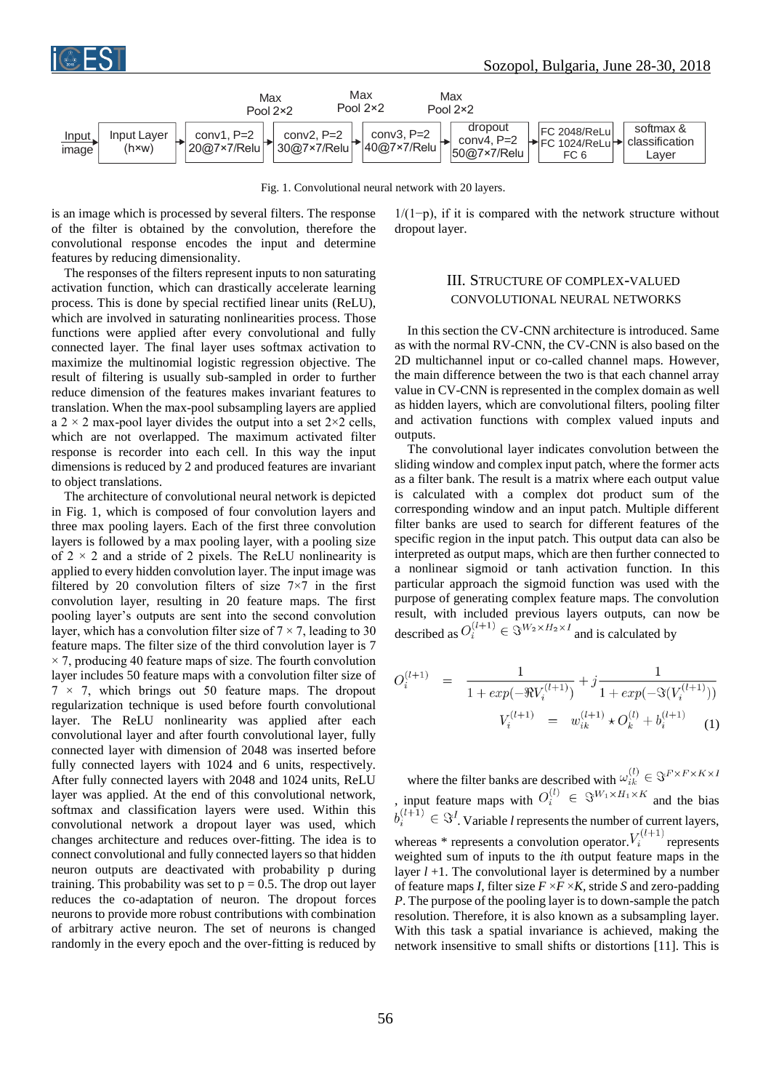



Fig. 1. Convolutional neural network with 20 layers.

is an image which is processed by several filters. The response of the filter is obtained by the convolution, therefore the convolutional response encodes the input and determine features by reducing dimensionality.

The responses of the filters represent inputs to non saturating activation function, which can drastically accelerate learning process. This is done by special rectified linear units (ReLU), which are involved in saturating nonlinearities process. Those functions were applied after every convolutional and fully connected layer. The final layer uses softmax activation to maximize the multinomial logistic regression objective. The result of filtering is usually sub-sampled in order to further reduce dimension of the features makes invariant features to translation. When the max-pool subsampling layers are applied a  $2 \times 2$  max-pool layer divides the output into a set  $2 \times 2$  cells, which are not overlapped. The maximum activated filter response is recorder into each cell. In this way the input dimensions is reduced by 2 and produced features are invariant to object translations.

The architecture of convolutional neural network is depicted in Fig. 1, which is composed of four convolution layers and three max pooling layers. Each of the first three convolution layers is followed by a max pooling layer, with a pooling size of  $2 \times 2$  and a stride of 2 pixels. The ReLU nonlinearity is applied to every hidden convolution layer. The input image was filtered by 20 convolution filters of size  $7\times7$  in the first convolution layer, resulting in 20 feature maps. The first pooling layer's outputs are sent into the second convolution layer, which has a convolution filter size of  $7 \times 7$ , leading to 30 feature maps. The filter size of the third convolution layer is 7  $\times$  7, producing 40 feature maps of size. The fourth convolution layer includes 50 feature maps with a convolution filter size of  $7 \times 7$ , which brings out 50 feature maps. The dropout regularization technique is used before fourth convolutional layer. The ReLU nonlinearity was applied after each convolutional layer and after fourth convolutional layer, fully connected layer with dimension of 2048 was inserted before fully connected layers with 1024 and 6 units, respectively. After fully connected layers with 2048 and 1024 units, ReLU layer was applied. At the end of this convolutional network, softmax and classification layers were used. Within this convolutional network a dropout layer was used, which changes architecture and reduces over-fitting. The idea is to connect convolutional and fully connected layers so that hidden neuron outputs are deactivated with probability p during training. This probability was set to  $p = 0.5$ . The drop out layer reduces the co-adaptation of neuron. The dropout forces neurons to provide more robust contributions with combination of arbitrary active neuron. The set of neurons is changed randomly in the every epoch and the over-fitting is reduced by

 $1/(1-p)$ , if it is compared with the network structure without dropout layer.

# III. STRUCTURE OF COMPLEX-VALUED CONVOLUTIONAL NEURAL NETWORKS

In this section the CV-CNN architecture is introduced. Same as with the normal RV-CNN, the CV-CNN is also based on the 2D multichannel input or co-called channel maps. However, the main difference between the two is that each channel array value in CV-CNN is represented in the complex domain as well as hidden layers, which are convolutional filters, pooling filter and activation functions with complex valued inputs and outputs.

The convolutional layer indicates convolution between the sliding window and complex input patch, where the former acts as a filter bank. The result is a matrix where each output value is calculated with a complex dot product sum of the corresponding window and an input patch. Multiple different filter banks are used to search for different features of the specific region in the input patch. This output data can also be interpreted as output maps, which are then further connected to a nonlinear sigmoid or tanh activation function. In this particular approach the sigmoid function was used with the purpose of generating complex feature maps. The convolution result, with included previous layers outputs, can now be described as  $O_i^{(l+1)} \in \Im^{W_2 \times H_2 \times I}$  and is calculated by

$$
O_i^{(l+1)} = \frac{1}{1 + exp(-\Re V_i^{(l+1)})} + j \frac{1}{1 + exp(-\Im(V_i^{(l+1)}))}
$$

$$
V_i^{(l+1)} = w_{ik}^{(l+1)} \star O_k^{(l)} + b_i^{(l+1)}
$$
(1)

where the filter banks are described with  $\omega_{ik}^{(l)} \in \Im^{F \times F \times K \times I}$ , input feature maps with  $O_i^{(0)} \in \mathcal{S}^{W_1 \wedge H_1 \wedge K}$  and the bias . Variable *l* represents the number of current layers, whereas \* represents a convolution operator.  $V_i^{(l+1)}$  represents weighted sum of inputs to the *i*th output feature maps in the layer  $l + 1$ . The convolutional layer is determined by a number of feature maps *I*, filter size  $F \times F \times K$ , stride *S* and zero-padding *P*. The purpose of the pooling layer is to down-sample the patch resolution. Therefore, it is also known as a subsampling layer. With this task a spatial invariance is achieved, making the network insensitive to small shifts or distortions [11]. This is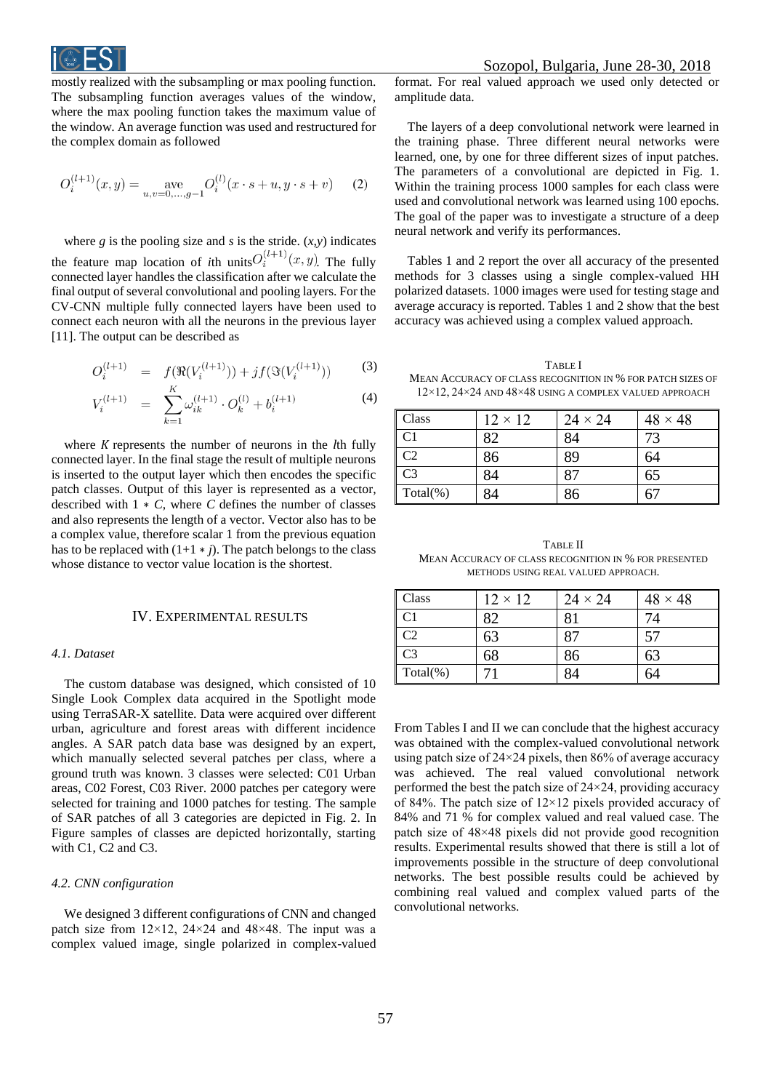

mostly realized with the subsampling or max pooling function. The subsampling function averages values of the window, where the max pooling function takes the maximum value of the window. An average function was used and restructured for the complex domain as followed

$$
O_i^{(l+1)}(x,y) = \underset{u,v=0,\dots,g-1}{\text{ave}} O_i^{(l)}(x \cdot s + u, y \cdot s + v) \tag{2}
$$

where  $g$  is the pooling size and  $s$  is the stride.  $(x, y)$  indicates the feature map location of *i*th units  $O_i^{(l+1)}(x, y)$ . The fully connected layer handles the classification after we calculate the final output of several convolutional and pooling layers. For the CV-CNN multiple fully connected layers have been used to connect each neuron with all the neurons in the previous layer [11]. The output can be described as

$$
O_i^{(l+1)} = f(\Re(V_i^{(l+1)})) + jf(\Im(V_i^{(l+1)}))
$$
 (3)

$$
V_i^{(l+1)} = \sum_{k=1}^{K} \omega_{ik}^{(l+1)} \cdot O_k^{(l)} + b_i^{(l+1)}
$$
(4)

where *K* represents the number of neurons in the *l*th fully connected layer. In the final stage the result of multiple neurons is inserted to the output layer which then encodes the specific patch classes. Output of this layer is represented as a vector, described with 1 ∗ *C*, where *C* defines the number of classes and also represents the length of a vector. Vector also has to be a complex value, therefore scalar 1 from the previous equation has to be replaced with  $(1+1 * i)$ . The patch belongs to the class whose distance to vector value location is the shortest.

### IV. EXPERIMENTAL RESULTS

#### *4.1. Dataset*

The custom database was designed, which consisted of 10 Single Look Complex data acquired in the Spotlight mode using TerraSAR-X satellite. Data were acquired over different urban, agriculture and forest areas with different incidence angles. A SAR patch data base was designed by an expert, which manually selected several patches per class, where a ground truth was known. 3 classes were selected: C01 Urban areas, C02 Forest, C03 River. 2000 patches per category were selected for training and 1000 patches for testing. The sample of SAR patches of all 3 categories are depicted in Fig. 2. In Figure samples of classes are depicted horizontally, starting with C1, C2 and C3.

#### *4.2. CNN configuration*

We designed 3 different configurations of CNN and changed patch size from  $12\times12$ ,  $24\times24$  and  $48\times48$ . The input was a complex valued image, single polarized in complex-valued Sozopol, Bulgaria, June 28-30, 2018

format. For real valued approach we used only detected or amplitude data.

The layers of a deep convolutional network were learned in the training phase. Three different neural networks were learned, one, by one for three different sizes of input patches. The parameters of a convolutional are depicted in Fig. 1. Within the training process 1000 samples for each class were used and convolutional network was learned using 100 epochs. The goal of the paper was to investigate a structure of a deep neural network and verify its performances.

Tables 1 and 2 report the over all accuracy of the presented methods for 3 classes using a single complex-valued HH polarized datasets. 1000 images were used for testing stage and average accuracy is reported. Tables 1 and 2 show that the best accuracy was achieved using a complex valued approach.

TABLE I MEAN ACCURACY OF CLASS RECOGNITION IN % FOR PATCH SIZES OF 12×12, 24×24 AND 48×48 USING A COMPLEX VALUED APPROACH

| Class          | $12 \times 12$ | $24 \times 24$ | $48 \times 48$ |
|----------------|----------------|----------------|----------------|
| C <sub>1</sub> | 82             | 84             |                |
| C <sub>2</sub> | 86             | 89             | h4             |
| C <sub>3</sub> | 84             | 87             | 65             |
| $Total(\% )$   | 34             |                |                |

TABLE II MEAN ACCURACY OF CLASS RECOGNITION IN % FOR PRESENTED METHODS USING REAL VALUED APPROACH.

| Class          | $12 \times 12$ | $24 \times 24$ | $48 \times 48$ |
|----------------|----------------|----------------|----------------|
| C1             | 82             | 81             | 74             |
| C <sub>2</sub> | 63             | 87             | 57             |
| C <sub>3</sub> | 68             | 86             | 63             |
| Total(%)       |                | 84             | 64             |

From Tables I and II we can conclude that the highest accuracy was obtained with the complex-valued convolutional network using patch size of 24×24 pixels, then 86% of average accuracy was achieved. The real valued convolutional network performed the best the patch size of  $24 \times 24$ , providing accuracy of 84%. The patch size of  $12 \times 12$  pixels provided accuracy of 84% and 71 % for complex valued and real valued case. The patch size of 48×48 pixels did not provide good recognition results. Experimental results showed that there is still a lot of improvements possible in the structure of deep convolutional networks. The best possible results could be achieved by combining real valued and complex valued parts of the convolutional networks.